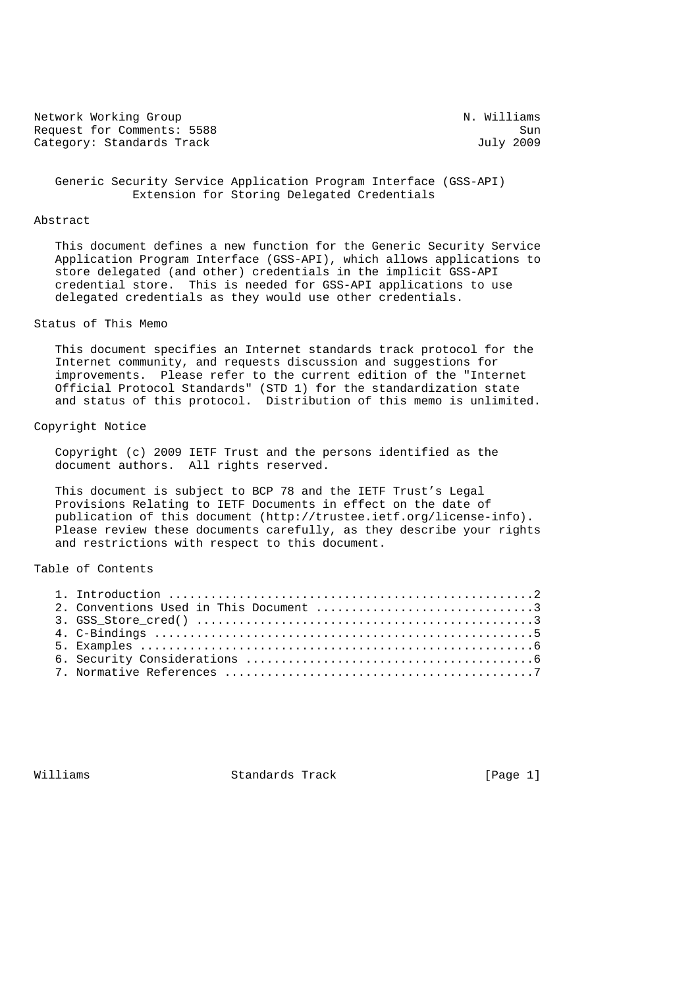Network Working Group Network Working Group Request for Comments: 5588 Sun<br>Category: Standards Track Sun Sun July 2009 Category: Standards Track

 Generic Security Service Application Program Interface (GSS-API) Extension for Storing Delegated Credentials

#### Abstract

 This document defines a new function for the Generic Security Service Application Program Interface (GSS-API), which allows applications to store delegated (and other) credentials in the implicit GSS-API credential store. This is needed for GSS-API applications to use delegated credentials as they would use other credentials.

### Status of This Memo

 This document specifies an Internet standards track protocol for the Internet community, and requests discussion and suggestions for improvements. Please refer to the current edition of the "Internet Official Protocol Standards" (STD 1) for the standardization state and status of this protocol. Distribution of this memo is unlimited.

#### Copyright Notice

 Copyright (c) 2009 IETF Trust and the persons identified as the document authors. All rights reserved.

 This document is subject to BCP 78 and the IETF Trust's Legal Provisions Relating to IETF Documents in effect on the date of publication of this document (http://trustee.ietf.org/license-info). Please review these documents carefully, as they describe your rights and restrictions with respect to this document.

#### Table of Contents

Williams Standards Track [Page 1]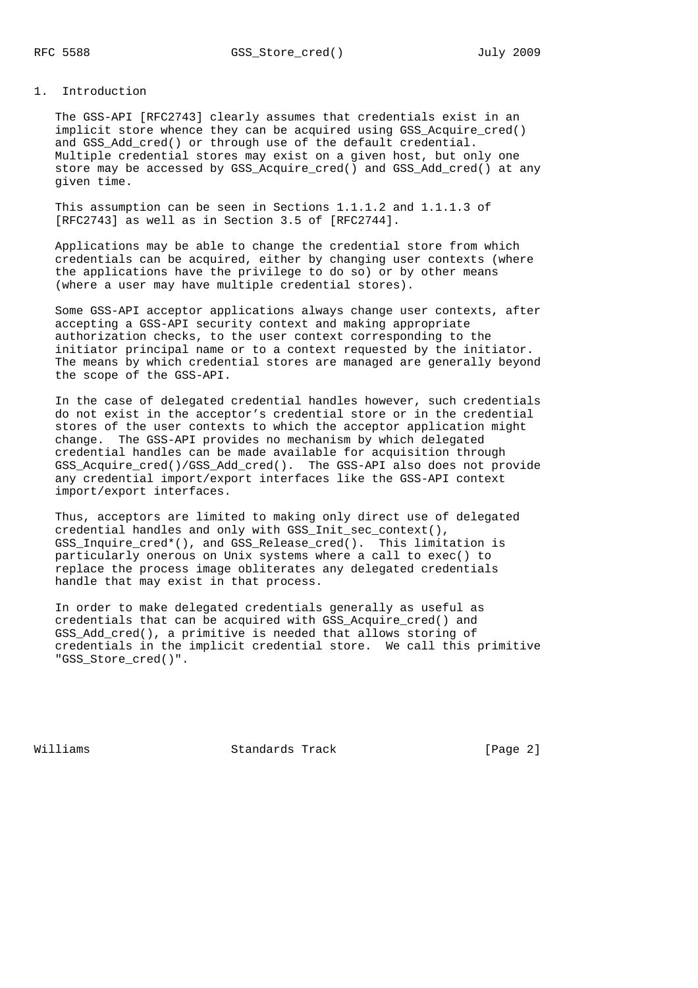#### 1. Introduction

 The GSS-API [RFC2743] clearly assumes that credentials exist in an implicit store whence they can be acquired using GSS\_Acquire\_cred() and GSS\_Add\_cred() or through use of the default credential. Multiple credential stores may exist on a given host, but only one store may be accessed by GSS\_Acquire\_cred() and GSS\_Add\_cred() at any given time.

 This assumption can be seen in Sections 1.1.1.2 and 1.1.1.3 of [RFC2743] as well as in Section 3.5 of [RFC2744].

 Applications may be able to change the credential store from which credentials can be acquired, either by changing user contexts (where the applications have the privilege to do so) or by other means (where a user may have multiple credential stores).

 Some GSS-API acceptor applications always change user contexts, after accepting a GSS-API security context and making appropriate authorization checks, to the user context corresponding to the initiator principal name or to a context requested by the initiator. The means by which credential stores are managed are generally beyond the scope of the GSS-API.

 In the case of delegated credential handles however, such credentials do not exist in the acceptor's credential store or in the credential stores of the user contexts to which the acceptor application might change. The GSS-API provides no mechanism by which delegated credential handles can be made available for acquisition through GSS\_Acquire\_cred()/GSS\_Add\_cred(). The GSS-API also does not provide any credential import/export interfaces like the GSS-API context import/export interfaces.

 Thus, acceptors are limited to making only direct use of delegated credential handles and only with GSS\_Init\_sec\_context(), GSS\_Inquire\_cred\*(), and GSS\_Release\_cred(). This limitation is particularly onerous on Unix systems where a call to exec() to replace the process image obliterates any delegated credentials handle that may exist in that process.

 In order to make delegated credentials generally as useful as credentials that can be acquired with GSS\_Acquire\_cred() and GSS\_Add\_cred(), a primitive is needed that allows storing of credentials in the implicit credential store. We call this primitive "GSS\_Store\_cred()".

Williams Standards Track [Page 2]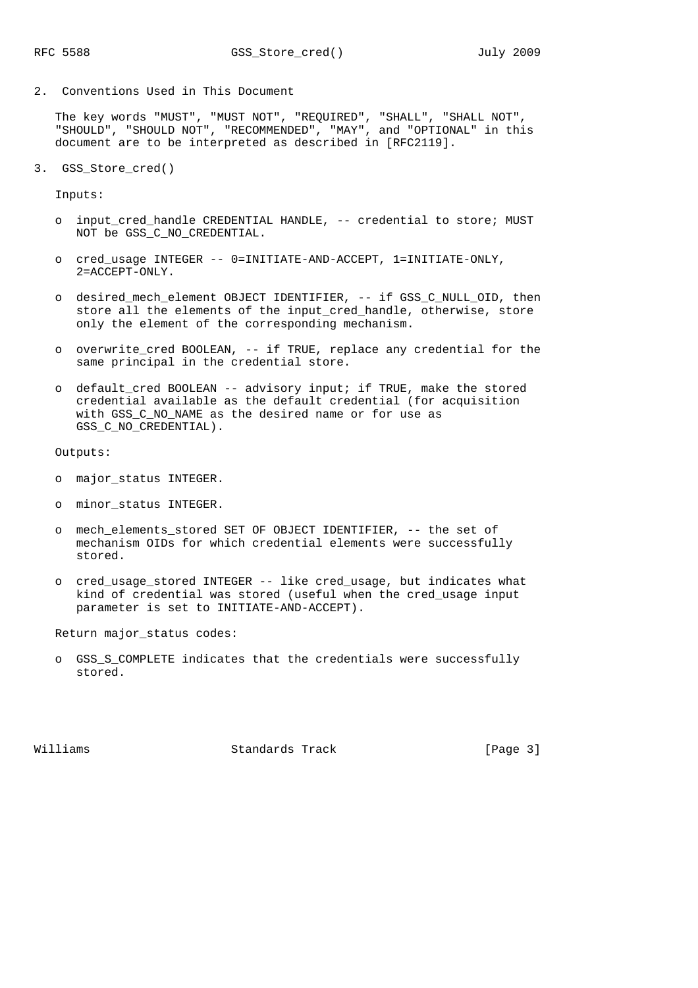2. Conventions Used in This Document

 The key words "MUST", "MUST NOT", "REQUIRED", "SHALL", "SHALL NOT", "SHOULD", "SHOULD NOT", "RECOMMENDED", "MAY", and "OPTIONAL" in this document are to be interpreted as described in [RFC2119].

3. GSS\_Store\_cred()

Inputs:

- o input\_cred\_handle CREDENTIAL HANDLE, -- credential to store; MUST NOT be GSS C NO CREDENTIAL.
- o cred\_usage INTEGER -- 0=INITIATE-AND-ACCEPT, 1=INITIATE-ONLY, 2=ACCEPT-ONLY.
- o desired\_mech\_element OBJECT IDENTIFIER, -- if GSS\_C\_NULL\_OID, then store all the elements of the input\_cred\_handle, otherwise, store only the element of the corresponding mechanism.
- o overwrite\_cred BOOLEAN, -- if TRUE, replace any credential for the same principal in the credential store.
- o default\_cred BOOLEAN -- advisory input; if TRUE, make the stored credential available as the default credential (for acquisition with GSS\_C\_NO\_NAME as the desired name or for use as GSS C NO CREDENTIAL).

Outputs:

- o major\_status INTEGER.
- o minor\_status INTEGER.
- o mech\_elements\_stored SET OF OBJECT IDENTIFIER, -- the set of mechanism OIDs for which credential elements were successfully stored.
- o cred\_usage\_stored INTEGER -- like cred\_usage, but indicates what kind of credential was stored (useful when the cred\_usage input parameter is set to INITIATE-AND-ACCEPT).

Return major\_status codes:

 o GSS\_S\_COMPLETE indicates that the credentials were successfully stored.

Williams Standards Track [Page 3]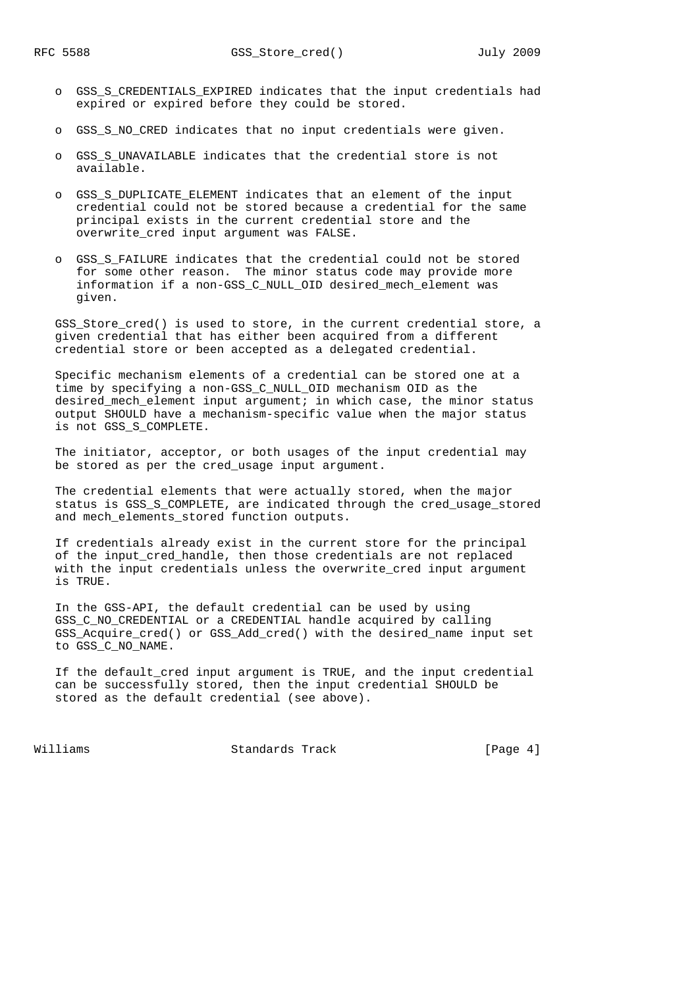- o GSS\_S\_CREDENTIALS\_EXPIRED indicates that the input credentials had expired or expired before they could be stored.
- o GSS\_S\_NO\_CRED indicates that no input credentials were given.
- o GSS\_S\_UNAVAILABLE indicates that the credential store is not available.
- o GSS\_S\_DUPLICATE\_ELEMENT indicates that an element of the input credential could not be stored because a credential for the same principal exists in the current credential store and the overwrite cred input argument was FALSE.
- o GSS\_S\_FAILURE indicates that the credential could not be stored for some other reason. The minor status code may provide more information if a non-GSS\_C\_NULL\_OID desired\_mech\_element was given.

 GSS\_Store\_cred() is used to store, in the current credential store, a given credential that has either been acquired from a different credential store or been accepted as a delegated credential.

 Specific mechanism elements of a credential can be stored one at a time by specifying a non-GSS\_C\_NULL\_OID mechanism OID as the desired\_mech\_element input argument; in which case, the minor status output SHOULD have a mechanism-specific value when the major status is not GSS\_S\_COMPLETE.

 The initiator, acceptor, or both usages of the input credential may be stored as per the cred usage input argument.

 The credential elements that were actually stored, when the major status is GSS\_S\_COMPLETE, are indicated through the cred\_usage\_stored and mech\_elements\_stored function outputs.

 If credentials already exist in the current store for the principal of the input\_cred\_handle, then those credentials are not replaced with the input credentials unless the overwrite\_cred input argument is TRUE.

 In the GSS-API, the default credential can be used by using GSS\_C\_NO\_CREDENTIAL or a CREDENTIAL handle acquired by calling GSS\_Acquire\_cred() or GSS\_Add\_cred() with the desired\_name input set to GSS\_C\_NO\_NAME.

 If the default\_cred input argument is TRUE, and the input credential can be successfully stored, then the input credential SHOULD be stored as the default credential (see above).

Williams Standards Track [Page 4]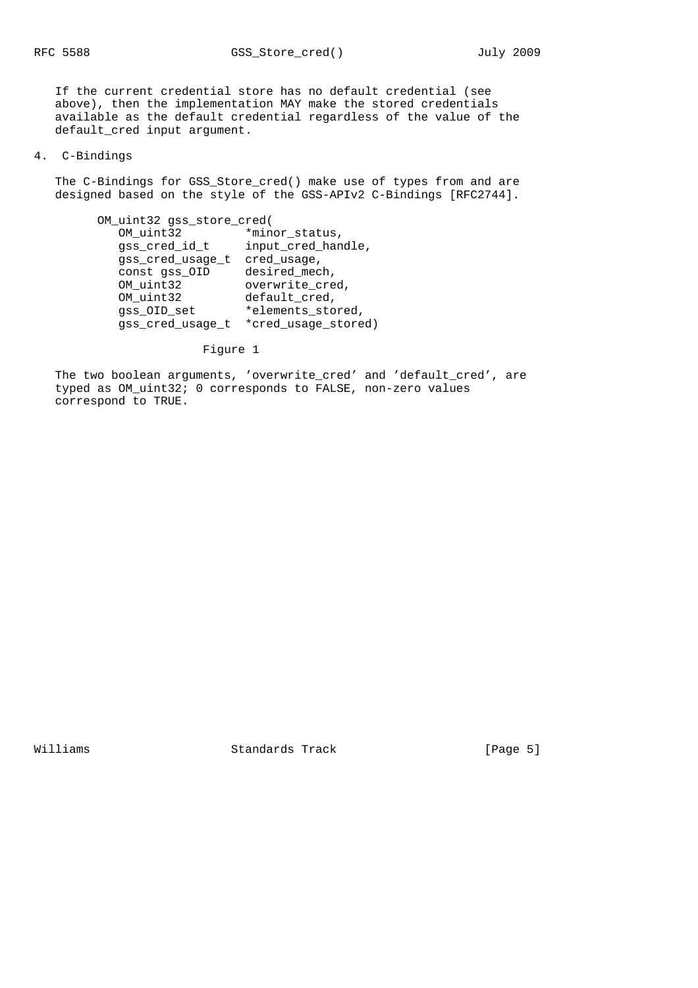If the current credential store has no default credential (see above), then the implementation MAY make the stored credentials available as the default credential regardless of the value of the default\_cred input argument.

# 4. C-Bindings

 The C-Bindings for GSS\_Store\_cred() make use of types from and are designed based on the style of the GSS-APIv2 C-Bindings [RFC2744].

| OM uint32 gss store cred( |                     |
|---------------------------|---------------------|
| OM uint32                 | *minor_status,      |
| qss cred id t             | input_cred_handle,  |
| gss_cred_usage_t          | cred usage,         |
| const qss OID             | desired_mech,       |
| OM uint32                 | overwrite_cred,     |
| OM_uint32                 | default cred,       |
| qss OID set               | *elements_stored,   |
| gss_cred_usage_t          | *cred usage stored) |

Figure 1

 The two boolean arguments, 'overwrite\_cred' and 'default\_cred', are typed as OM\_uint32; 0 corresponds to FALSE, non-zero values correspond to TRUE.

Williams Standards Track [Page 5]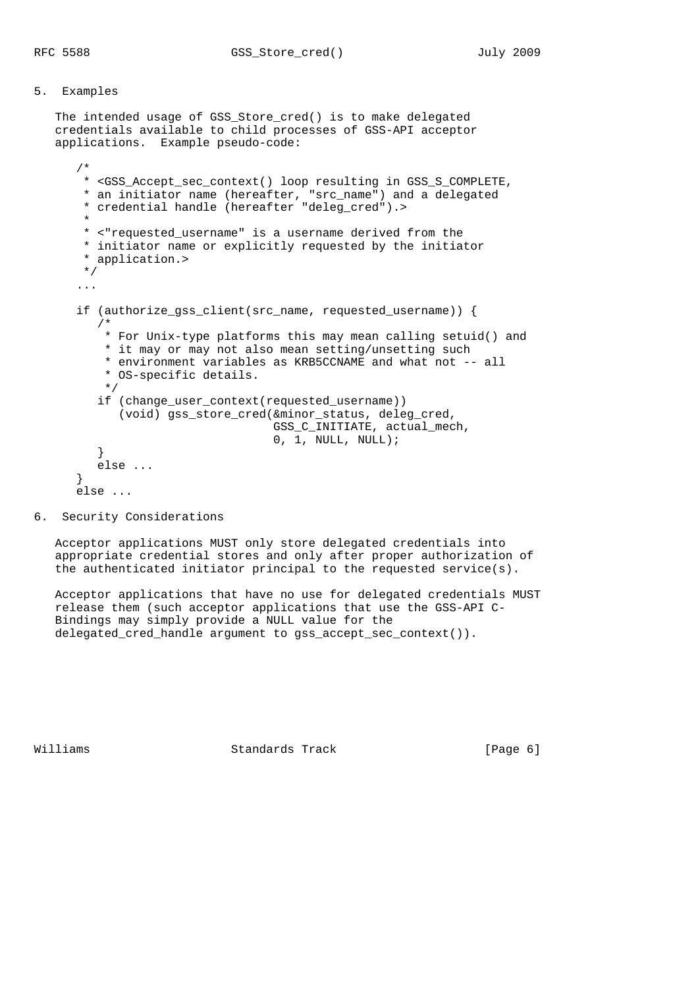## 5. Examples

 The intended usage of GSS\_Store\_cred() is to make delegated credentials available to child processes of GSS-API acceptor applications. Example pseudo-code:

```
 /*
      * <GSS_Accept_sec_context() loop resulting in GSS_S_COMPLETE,
       * an initiator name (hereafter, "src_name") and a delegated
       * credential handle (hereafter "deleg_cred").>
*
       * <"requested_username" is a username derived from the
       * initiator name or explicitly requested by the initiator
       * application.>
       */
      ...
     if (authorize qss client(src name, requested username)) {
         /*
          * For Unix-type platforms this may mean calling setuid() and
          * it may or may not also mean setting/unsetting such
          * environment variables as KRB5CCNAME and what not -- all
          * OS-specific details.
          */
         if (change_user_context(requested_username))
            (void) gss_store_cred(&minor_status, deleg_cred,
                                 GSS C INITIATE, actual mech,
                                 0, 1, NULL, NULL); }
        else ...
      }
     else ...
```
6. Security Considerations

 Acceptor applications MUST only store delegated credentials into appropriate credential stores and only after proper authorization of the authenticated initiator principal to the requested service(s).

 Acceptor applications that have no use for delegated credentials MUST release them (such acceptor applications that use the GSS-API C- Bindings may simply provide a NULL value for the delegated\_cred\_handle argument to gss\_accept\_sec\_context()).

Williams Standards Track [Page 6]